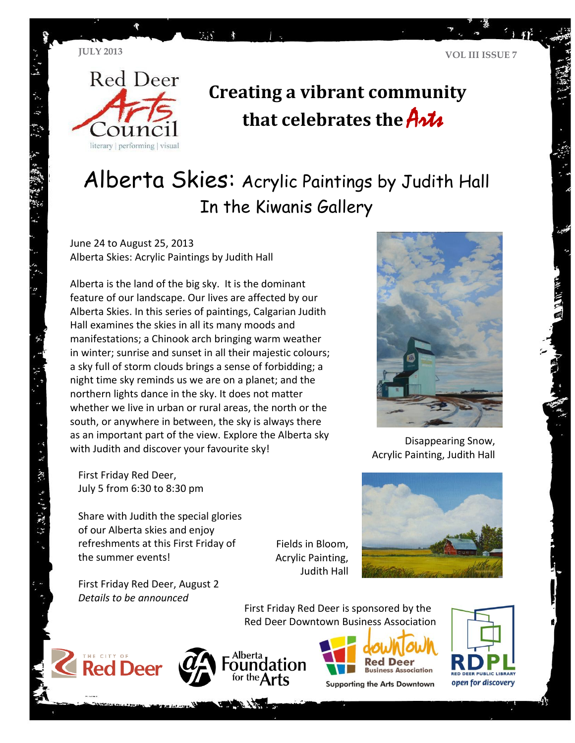

# **Creating a vibrant community**  that celebrates the **Arts**

## Alberta Skies: Acrylic Paintings by Judith Hall In the Kiwanis Gallery

June 24 to August 25, 2013 Alberta Skies: Acrylic Paintings by Judith Hall

Alberta is the land of the big sky. It is the dominant feature of our landscape. Our lives are affected by our Alberta Skies. In this series of paintings, Calgarian Judith Hall examines the skies in all its many moods and manifestations; a Chinook arch bringing warm weather in winter; sunrise and sunset in all their majestic colours; a sky full of storm clouds brings a sense of forbidding; a night time sky reminds us we are on a planet; and the northern lights dance in the sky. It does not matter whether we live in urban or rural areas, the north or the south, or anywhere in between, the sky is always there as an important part of the view. Explore the Alberta sky with Judith and discover your favourite sky!

mar.

First Friday Red Deer, July 5 from 6:30 to 8:30 pm

了。好 深 生活性的

Share with Judith the special glories of our Alberta skies and enjoy refreshments at this First Friday of the summer events!

First Friday Red Deer, August 2 *Details to be announced*

Fields in Bloom, Acrylic Painting, Judith Hall



First Friday Red Deer is sponsored by the Red Deer Downtown Business Association









**Supporting the Arts Downtown** 





Disappearing Snow, Acrylic Painting, Judith Hall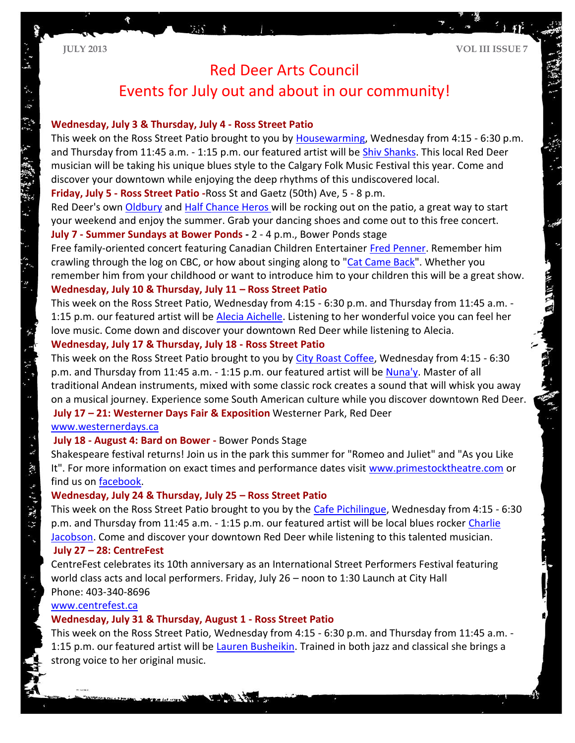# Red Deer Arts Council

### Events for July out and about in our community!

#### **Wednesday, July 3 & Thursday, July 4 - Ross Street Patio**

This week on the Ross Street Patio brought to you by [Housewarming,](https://www.facebook.com/#!/housewarmings?fref=ts) Wednesday from 4:15 - 6:30 p.m. and Thursday from 11:45 a.m. - 1:15 p.m. our featured artist will be **Shiv Shanks**. This local Red Deer musician will be taking his unique blues style to the Calgary Folk Music Festival this year. Come and discover your downtown while enjoying the deep rhythms of this undiscovered local.

**Friday, July 5 - Ross Street Patio -**Ross St and Gaetz (50th) Ave, 5 - 8 p.m.

Red Deer's own [Oldbury](http://www.oldbury.ca/) and [Half Chance Heros w](http://www.halfchanceheroes.com/)ill be rocking out on the patio, a great way to start your weekend and enjoy the summer. Grab your dancing shoes and come out to this free concert. **July 7 - Summer Sundays at Bower Ponds -** 2 - 4 p.m., Bower Ponds stage

Free family-oriented concert featuring Canadian Children Entertainer [Fred Penner.](http://www.fredpenner.com/) Remember him crawling through the log on CBC, or how about singing along to ["Cat Came Back"](http://youtu.be/h01U0JAR-4o). Whether you remember him from your childhood or want to introduce him to your children this will be a great show. **Wednesday, July 10 & Thursday, July 11 – Ross Street Patio** 

This week on the Ross Street Patio, Wednesday from 4:15 - 6:30 p.m. and Thursday from 11:45 a.m. - 1:15 p.m. our featured artist will be [Alecia Aichelle.](http://aleciamusic.com/) Listening to her wonderful voice you can feel her love music. Come down and discover your downtown Red Deer while listening to Alecia.

#### **Wednesday, July 17 & Thursday, July 18 - Ross Street Patio**

This week on the Ross Street Patio brought to you by [City Roast Coffee,](http://www.cityroastcoffee.ca/) Wednesday from 4:15 - 6:30 p.m. and Thursday from 11:45 a.m. - 1:15 p.m. our featured artist will be [Nuna'y.](http://nunay.com/index.html) Master of all traditional Andean instruments, mixed with some classic rock creates a sound that will whisk you away on a musical journey. Experience some South American culture while you discover downtown Red Deer. **July 17 – 21: Westerner Days Fair & Exposition** Westerner Park, Red Deer

#### [www.westernerdays.ca](http://www.westernerdays.ca/)

#### **July 18 - August 4: Bard on Bower -** Bower Ponds Stage

Shakespeare festival returns! Join us in the park this summer for "Romeo and Juliet" and "As you Like It". For more information on exact times and performance dates visit [www.primestocktheatre.com](http://www.primestocktheatre.com/) or find us on [facebook.](https://www.facebook.com/home.php#!/primestocktheatre?fref=ts)

#### **Wednesday, July 24 & Thursday, July 25 – Ross Street Patio**

This week on the Ross Street Patio brought to you by the [Cafe Pichilingue,](http://www.cafepichilingue.com/index.htm) Wednesday from 4:15 - 6:30 p.m. and Thursday from 11:45 a.m. - 1:15 p.m. our featured artist will be local blues rocker [Charlie](http://youtu.be/4ZZ7VS4JLYs)  [Jacobson.](http://youtu.be/4ZZ7VS4JLYs) Come and discover your downtown Red Deer while listening to this talented musician.

#### **July 27 – 28: CentreFest**

CentreFest celebrates its 10th anniversary as an International Street Performers Festival featuring world class acts and local performers. Friday, July 26 – noon to 1:30 Launch at City Hall Phone: 403-340-8696

#### [www.centrefest.ca](http://www.centrefest.ca/)

#### **Wednesday, July 31 & Thursday, August 1 - Ross Street Patio**

This week on the Ross Street Patio, Wednesday from 4:15 - 6:30 p.m. and Thursday from 11:45 a.m. - 1:15 p.m. our featured artist will be [Lauren Busheikin.](http://www.laurenbusheikin.com/fr_home.cfm) Trained in both jazz and classical she brings a strong voice to her original music.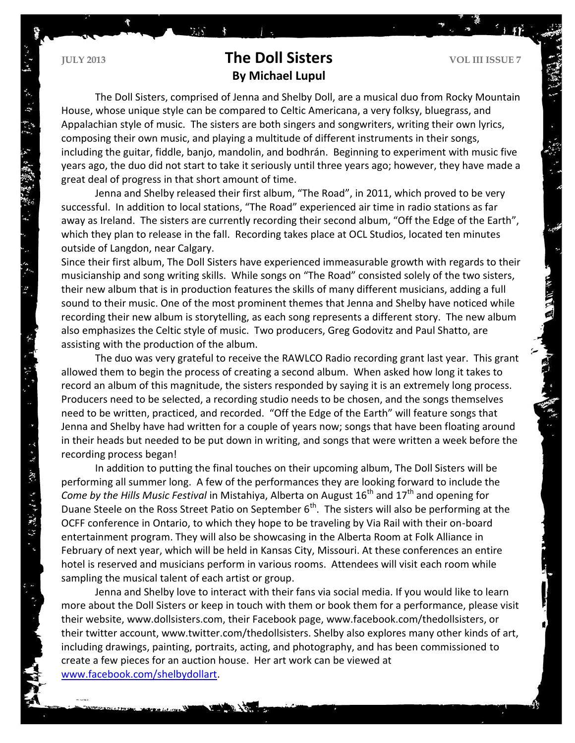$\ddot{\tilde{\mathbf{z}}}$ 

深い きょどう取り

### **The Doll Sisters VOL III ISSUE 7 By Michael Lupul**

The Doll Sisters, comprised of Jenna and Shelby Doll, are a musical duo from Rocky Mountain House, whose unique style can be compared to Celtic Americana, a very folksy, bluegrass, and Appalachian style of music. The sisters are both singers and songwriters, writing their own lyrics, composing their own music, and playing a multitude of different instruments in their songs, including the guitar, fiddle, banjo, mandolin, and bodhrán. Beginning to experiment with music five years ago, the duo did not start to take it seriously until three years ago; however, they have made a great deal of progress in that short amount of time.

Jenna and Shelby released their first album, "The Road", in 2011, which proved to be very successful. In addition to local stations, "The Road" experienced air time in radio stations as far away as Ireland. The sisters are currently recording their second album, "Off the Edge of the Earth", which they plan to release in the fall. Recording takes place at OCL Studios, located ten minutes outside of Langdon, near Calgary.

Since their first album, The Doll Sisters have experienced immeasurable growth with regards to their musicianship and song writing skills. While songs on "The Road" consisted solely of the two sisters, their new album that is in production features the skills of many different musicians, adding a full sound to their music. One of the most prominent themes that Jenna and Shelby have noticed while recording their new album is storytelling, as each song represents a different story. The new album also emphasizes the Celtic style of music. Two producers, Greg Godovitz and Paul Shatto, are assisting with the production of the album.

The duo was very grateful to receive the RAWLCO Radio recording grant last year. This grant allowed them to begin the process of creating a second album. When asked how long it takes to record an album of this magnitude, the sisters responded by saying it is an extremely long process. Producers need to be selected, a recording studio needs to be chosen, and the songs themselves need to be written, practiced, and recorded. "Off the Edge of the Earth" will feature songs that Jenna and Shelby have had written for a couple of years now; songs that have been floating around in their heads but needed to be put down in writing, and songs that were written a week before the recording process began!

In addition to putting the final touches on their upcoming album, The Doll Sisters will be performing all summer long. A few of the performances they are looking forward to include the *Come by the Hills Music Festival* in Mistahiya, Alberta on August 16<sup>th</sup> and 17<sup>th</sup> and opening for Duane Steele on the Ross Street Patio on September 6<sup>th</sup>. The sisters will also be performing at the OCFF conference in Ontario, to which they hope to be traveling by Via Rail with their on-board entertainment program. They will also be showcasing in the Alberta Room at Folk Alliance in February of next year, which will be held in Kansas City, Missouri. At these conferences an entire hotel is reserved and musicians perform in various rooms. Attendees will visit each room while sampling the musical talent of each artist or group.

Jenna and Shelby love to interact with their fans via social media. If you would like to learn more about the Doll Sisters or keep in touch with them or book them for a performance, please visit their website, www.dollsisters.com, their Facebook page, www.facebook.com/thedollsisters, or their twitter account, www.twitter.com/thedollsisters. Shelby also explores many other kinds of art, including drawings, painting, portraits, acting, and photography, and has been commissioned to create a few pieces for an auction house. Her art work can be viewed at [www.facebook.com/shelbydollart.](http://www.facebook.com/shelbydollart)